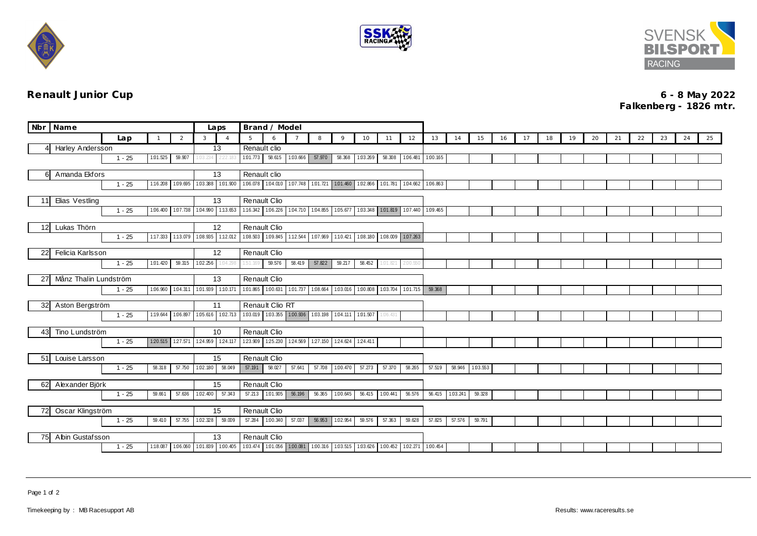





**Renault Junior Cup 6 - 8 May 2022 Falkenberg - 1826 mtr.**

| Nbr Name                                               |                         |          | Laps              | Brand / Model            |                                     |              |                                                                                  |        |          |                            |                 |                   |                 |                 |        |          |    |    |    |    |    |    |    |    |    |    |
|--------------------------------------------------------|-------------------------|----------|-------------------|--------------------------|-------------------------------------|--------------|----------------------------------------------------------------------------------|--------|----------|----------------------------|-----------------|-------------------|-----------------|-----------------|--------|----------|----|----|----|----|----|----|----|----|----|----|
|                                                        |                         | Lap      | $\overline{1}$    | 2                        | 3                                   | 5            | 6                                                                                |        | 8        | 9                          | 10              | 11                | 12              | 13              | 14     | 15       | 16 | 17 | 18 | 19 | 20 | 21 | 22 | 23 | 24 | 25 |
|                                                        | <b>Harley Andersson</b> |          |                   |                          |                                     |              | Renault clio                                                                     |        |          |                            |                 |                   |                 |                 |        |          |    |    |    |    |    |    |    |    |    |    |
|                                                        |                         | $1 - 25$ | 1:01.525          | 59.907                   | 03.234<br>22.                       | 101.773      | 58.615 1.03.666                                                                  |        | 57.970   |                            | 58.368 1.03.269 |                   | 58.308 1.06.481 | 1:00.165        |        |          |    |    |    |    |    |    |    |    |    |    |
| Amanda Ekfors<br>61                                    |                         |          |                   |                          | 13                                  | Renault clio |                                                                                  |        |          |                            |                 |                   |                 |                 |        |          |    |    |    |    |    |    |    |    |    |    |
|                                                        |                         | $1 - 25$ |                   |                          | 1:16.208 1:09.695 1:03.388 1:01.900 |              | 106.078 104.010 107.748 101.721 101.460 102.866 101.781 104.662 106.863          |        |          |                            |                 |                   |                 |                 |        |          |    |    |    |    |    |    |    |    |    |    |
|                                                        |                         |          |                   |                          |                                     |              |                                                                                  |        |          |                            |                 |                   |                 |                 |        |          |    |    |    |    |    |    |    |    |    |    |
| Elias Vestling<br>11                                   |                         |          |                   | 13                       | Renault Clio                        |              |                                                                                  |        |          |                            |                 |                   |                 |                 |        |          |    |    |    |    |    |    |    |    |    |    |
|                                                        |                         | $1 - 25$ |                   | 1.06.400 1.07.738        | 1.04.990 1:13.653                   |              | 1.16.342 1.06.226 1.04.710 1.04.855 1.05.677 1.03.348 1.01.819 1.07.440 1.09.465 |        |          |                            |                 |                   |                 |                 |        |          |    |    |    |    |    |    |    |    |    |    |
| 12 <sup>1</sup>                                        | Lukas Thörn             |          |                   |                          | 12                                  |              | Renault Clio                                                                     |        |          |                            |                 |                   |                 |                 |        |          |    |    |    |    |    |    |    |    |    |    |
|                                                        |                         | $1 - 25$ | 1:17.333 1:13.079 |                          | 1.08.935 1:12.012                   |              | 1.08.503 1.09.845 1.12.544                                                       |        |          | 1.07.969 1:10.421 1.08.180 |                 | 1.08.009 1.07.263 |                 |                 |        |          |    |    |    |    |    |    |    |    |    |    |
|                                                        |                         |          |                   |                          |                                     |              |                                                                                  |        |          |                            |                 |                   |                 |                 |        |          |    |    |    |    |    |    |    |    |    |    |
|                                                        | Felicia Karlsson<br>22  |          |                   | 12                       |                                     | Renault Clio |                                                                                  |        |          |                            |                 |                   |                 |                 |        |          |    |    |    |    |    |    |    |    |    |    |
|                                                        |                         | $1 - 25$ | 1:01.420          | 59.315                   | 1:02.256<br>1:04.29                 | 1:51.169     | 59.576                                                                           | 58.419 | 57.822   | 59.217                     | 58.452          | 1:01.821          | 2:00.550        |                 |        |          |    |    |    |    |    |    |    |    |    |    |
| 27                                                     | Månz Thalin Lundström   |          |                   |                          |                                     |              | <b>Renault Clio</b>                                                              |        |          |                            |                 |                   |                 |                 |        |          |    |    |    |    |    |    |    |    |    |    |
|                                                        |                         | $1 - 25$ | 1:06.960          | 1.04.311                 | 1.01.939 1:10.171                   |              | 1.01.865 1.00.631 1.01.737                                                       |        | 1.08.664 | 1.03.016 1.00.808          |                 | 1.03.704          | 1:01.715        | 59.368          |        |          |    |    |    |    |    |    |    |    |    |    |
|                                                        |                         |          |                   |                          |                                     |              |                                                                                  |        |          |                            |                 |                   |                 |                 |        |          |    |    |    |    |    |    |    |    |    |    |
| 32                                                     | Aston Bergström         |          |                   |                          | 11                                  |              | Renault Clio RT                                                                  |        |          |                            |                 |                   |                 |                 |        |          |    |    |    |    |    |    |    |    |    |    |
|                                                        |                         | $1 - 25$ | 1:19.644          | 1.06.897                 | 1:02.713<br>1:05.616                |              | 1.03.019 1.03.355 1.00.936                                                       |        |          | 1.03.198 1.04.111 1.01.507 |                 | 1:06.431          |                 |                 |        |          |    |    |    |    |    |    |    |    |    |    |
| 43                                                     | Tino Lundström          |          |                   |                          | 10                                  | Renault Clio |                                                                                  |        |          |                            |                 |                   |                 |                 |        |          |    |    |    |    |    |    |    |    |    |    |
|                                                        |                         | $1 - 25$ | 1:20.515          | 127.571                  | 124.959<br>124.117                  |              | 123.909 125.230 124.569                                                          |        |          | 127.150 124.624            | 124.411         |                   |                 |                 |        |          |    |    |    |    |    |    |    |    |    |    |
|                                                        |                         |          |                   |                          |                                     |              |                                                                                  |        |          |                            |                 |                   |                 |                 |        |          |    |    |    |    |    |    |    |    |    |    |
| 51                                                     | Louise Larsson          | $1 - 25$ | 58.318            | 57.750                   | 15<br>58.049<br>1:02.180            | 57.191       | <b>Renault Clio</b><br>58.027                                                    | 57.641 |          | 57.708 1.00.470            | 57.273          | 57.370            | 58.265          | 57.519          | 58.946 | 1.03.553 |    |    |    |    |    |    |    |    |    |    |
|                                                        |                         |          |                   |                          |                                     |              |                                                                                  |        |          |                            |                 |                   |                 |                 |        |          |    |    |    |    |    |    |    |    |    |    |
| Alexander Björk<br>62                                  |                         |          |                   |                          | 15                                  | Renault Clio |                                                                                  |        |          |                            |                 |                   |                 |                 |        |          |    |    |    |    |    |    |    |    |    |    |
|                                                        |                         | $1 - 25$ | 59.661            | 57.636                   | 57.343<br>1:02.400                  | 57.213       | 1.01.905                                                                         | 56.196 |          | 56.365 1.00.645            | 56.415 1.00.441 |                   | 56.576          | 56.415 1.03.241 |        | 59.328   |    |    |    |    |    |    |    |    |    |    |
|                                                        |                         |          |                   |                          |                                     | Renault Clio |                                                                                  |        |          |                            |                 |                   |                 |                 |        |          |    |    |    |    |    |    |    |    |    |    |
| Oscar Klingström<br>72<br>57.755<br>$1 - 25$<br>59.410 |                         |          |                   | 15<br>1.02.328<br>59.009 | 57.284                              | 1.00.340     | 57.037                                                                           | 56.953 | 1.02.954 | 59.576                     | 57.363          | 59.628            | 57.825          | 57.576          | 59.791 |          |    |    |    |    |    |    |    |    |    |    |
|                                                        |                         |          |                   |                          |                                     |              |                                                                                  |        |          |                            |                 |                   |                 |                 |        |          |    |    |    |    |    |    |    |    |    |    |
| 75                                                     | Abin Gustafsson         |          |                   |                          | 13                                  |              | <b>Renault Clio</b>                                                              |        |          |                            |                 |                   |                 |                 |        |          |    |    |    |    |    |    |    |    |    |    |
|                                                        |                         | $1 - 25$ | 1:18.087          |                          | 1.06.060 1.01.839 1.00.405          |              | 103.474 101.056 100.081 100.316 103.515 103.626 100.452 102.271 100.454          |        |          |                            |                 |                   |                 |                 |        |          |    |    |    |    |    |    |    |    |    |    |